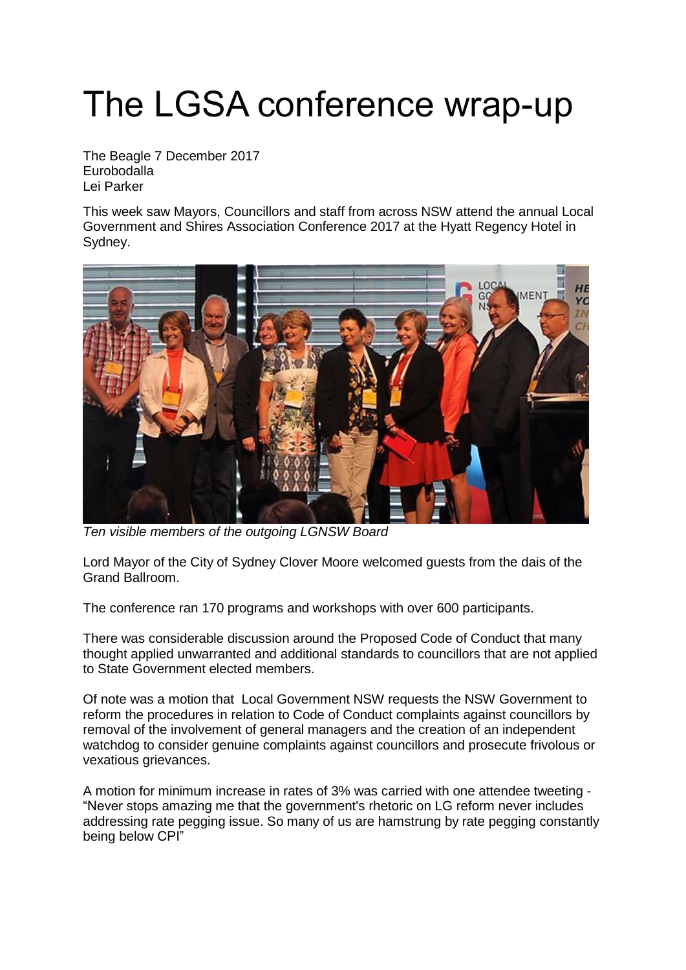## The LGSA conference wrap-up

The Beagle 7 December 2017 Eurobodalla Lei [Parker](https://www.beagleweekly.com.au/allthenews/author/Lei-Parker)

This week saw Mayors, Councillors and staff from across NSW attend the annual Local Government and Shires Association Conference 2017 at the Hyatt Regency Hotel in Sydney.



*Ten visible members of the outgoing LGNSW Board*

Lord Mayor of the City of Sydney Clover Moore welcomed guests from the dais of the Grand Ballroom.

The conference ran 170 programs and workshops with over 600 participants.

There was considerable discussion around the Proposed Code of Conduct that many thought applied unwarranted and additional standards to councillors that are not applied to State Government elected members.

Of note was a motion that Local Government NSW requests the NSW Government to reform the procedures in relation to Code of Conduct complaints against councillors by removal of the involvement of general managers and the creation of an independent watchdog to consider genuine complaints against councillors and prosecute frivolous or vexatious grievances.

A motion for minimum increase in rates of 3% was carried with one attendee tweeting - "Never stops amazing me that the government's rhetoric on LG reform never includes addressing rate pegging issue. So many of us are hamstrung by rate pegging constantly being below CPI"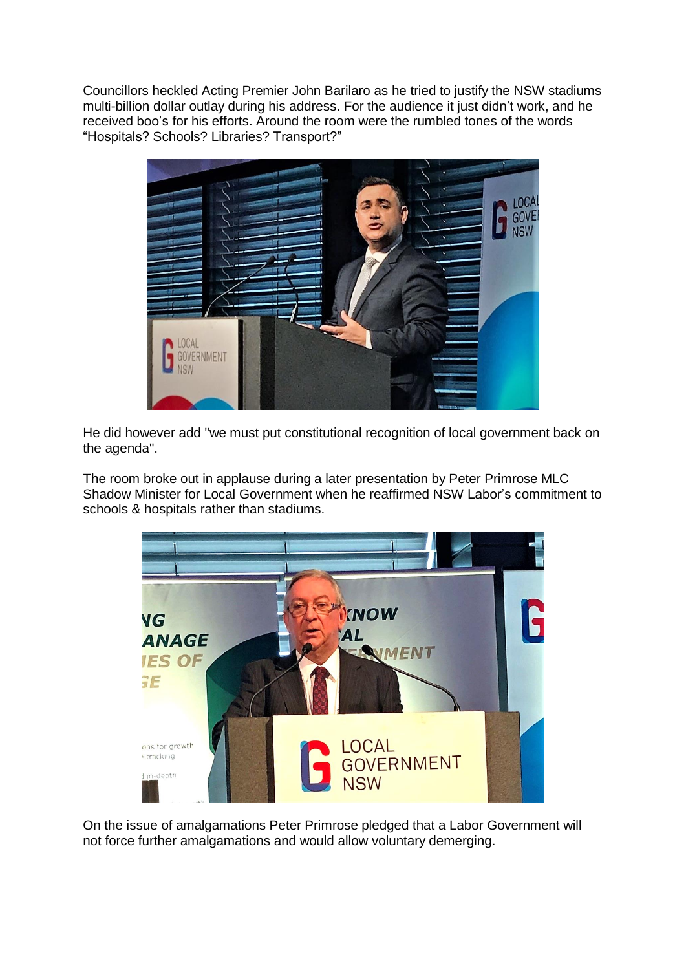Councillors heckled Acting Premier John Barilaro as he tried to justify the NSW stadiums multi-billion dollar outlay during his address. For the audience it just didn't work, and he received boo's for his efforts. Around the room were the rumbled tones of the words "Hospitals? Schools? Libraries? Transport?"



He did however add "we must put constitutional recognition of local government back on the agenda".

The room broke out in applause during a later presentation by Peter Primrose MLC Shadow Minister for Local Government when he reaffirmed NSW Labor's commitment to schools & hospitals rather than stadiums.



On the issue of amalgamations Peter Primrose pledged that a Labor Government will not force further amalgamations and would allow voluntary demerging.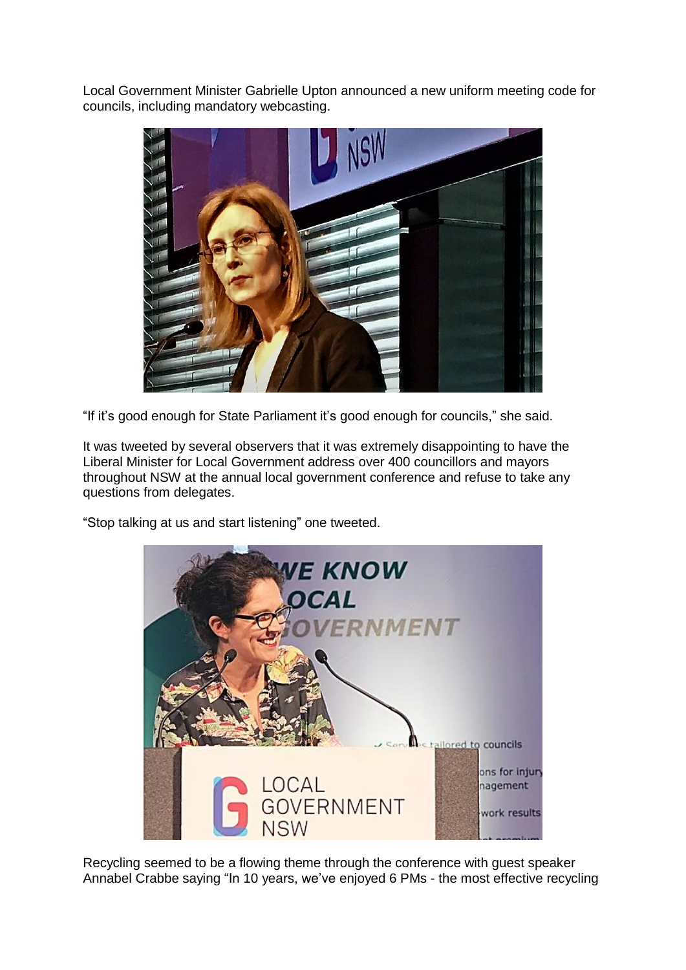Local Government Minister Gabrielle Upton announced a new uniform meeting code for councils, including mandatory webcasting.



"If it's good enough for State Parliament it's good enough for councils," she said.

It was tweeted by several observers that it was extremely disappointing to have the Liberal Minister for Local Government address over 400 councillors and mayors throughout NSW at the annual local government conference and refuse to take any questions from delegates.

"Stop talking at us and start listening" one tweeted.



Recycling seemed to be a flowing theme through the conference with guest speaker Annabel Crabbe saying "In 10 years, we've enjoyed 6 PMs - the most effective recycling